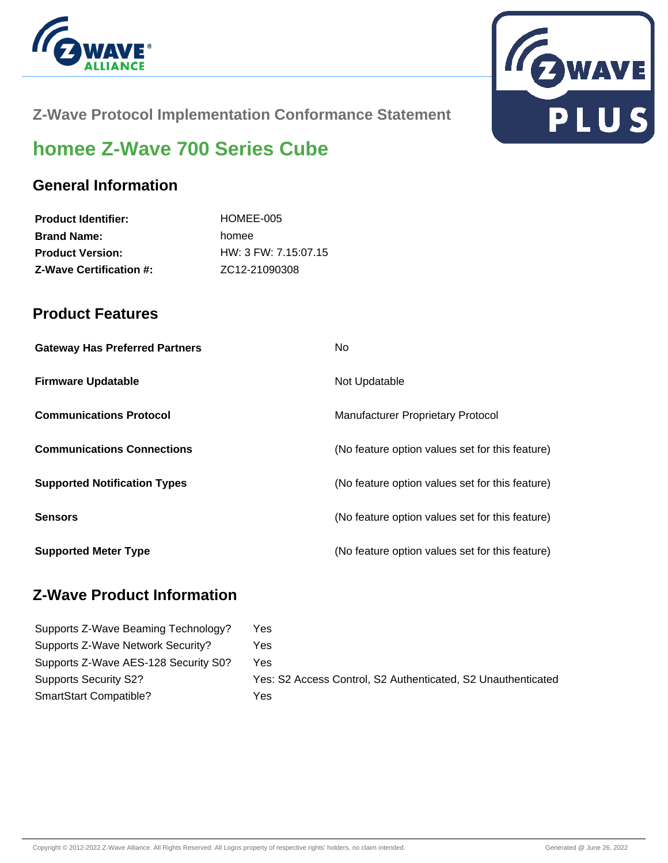



**Z-Wave Protocol Implementation Conformance Statement**

# **homee Z-Wave 700 Series Cube**

### **General Information**

| HOMEE-005              |
|------------------------|
| homee                  |
| $HW: 3$ FW: 7.15:07.15 |
| ZC12-21090308          |
|                        |

### **Product Features**

| <b>Gateway Has Preferred Partners</b> | No.                                             |
|---------------------------------------|-------------------------------------------------|
| <b>Firmware Updatable</b>             | Not Updatable                                   |
| <b>Communications Protocol</b>        | <b>Manufacturer Proprietary Protocol</b>        |
| <b>Communications Connections</b>     | (No feature option values set for this feature) |
| <b>Supported Notification Types</b>   | (No feature option values set for this feature) |
| <b>Sensors</b>                        | (No feature option values set for this feature) |
| <b>Supported Meter Type</b>           | (No feature option values set for this feature) |

## **Z-Wave Product Information**

| Supports Z-Wave Beaming Technology?  | Yes                                                          |
|--------------------------------------|--------------------------------------------------------------|
| Supports Z-Wave Network Security?    | Yes                                                          |
| Supports Z-Wave AES-128 Security S0? | Yes                                                          |
| <b>Supports Security S2?</b>         | Yes: S2 Access Control, S2 Authenticated, S2 Unauthenticated |
| SmartStart Compatible?               | Yes                                                          |
|                                      |                                                              |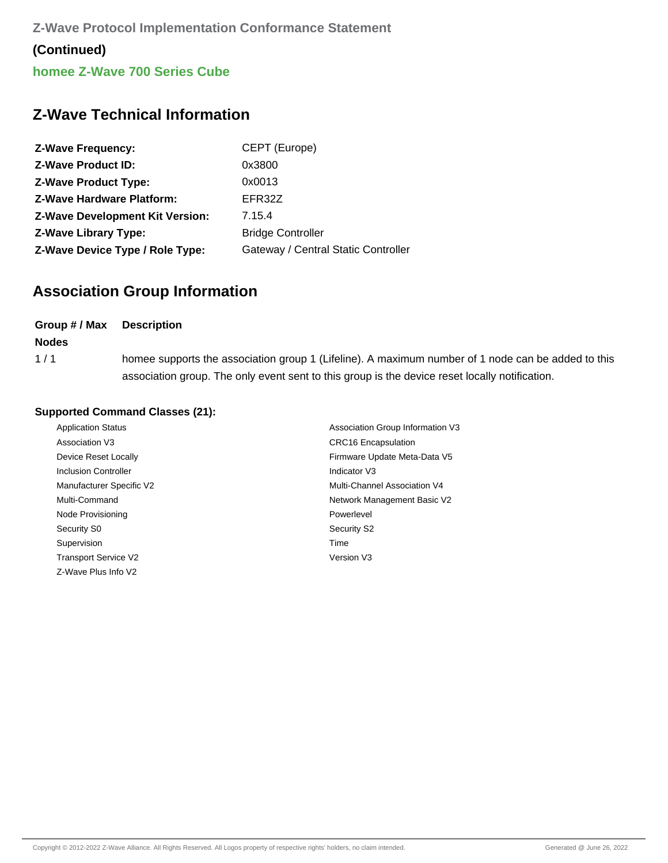**Z-Wave Protocol Implementation Conformance Statement (Continued) homee Z-Wave 700 Series Cube**

### **Z-Wave Technical Information**

| <b>Z-Wave Frequency:</b>               | CEPT (Europe)                       |
|----------------------------------------|-------------------------------------|
| <b>Z-Wave Product ID:</b>              | 0x3800                              |
| <b>Z-Wave Product Type:</b>            | 0x0013                              |
| <b>Z-Wave Hardware Platform:</b>       | EFR32Z                              |
| <b>Z-Wave Development Kit Version:</b> | 7.15.4                              |
| <b>Z-Wave Library Type:</b>            | <b>Bridge Controller</b>            |
| Z-Wave Device Type / Role Type:        | Gateway / Central Static Controller |

# **Association Group Information**

| Group # / Max | <b>Description</b>                                                                                                                                                                                   |
|---------------|------------------------------------------------------------------------------------------------------------------------------------------------------------------------------------------------------|
| <b>Nodes</b>  |                                                                                                                                                                                                      |
| 1/1           | homee supports the association group 1 (Lifeline). A maximum number of 1 node can be added to this<br>association group. The only event sent to this group is the device reset locally notification. |

#### **Supported Command Classes (21):**

| <b>Application Status</b>   | Association Group Information V3 |
|-----------------------------|----------------------------------|
| Association V3              | <b>CRC16</b> Encapsulation       |
| Device Reset Locally        | Firmware Update Meta-Data V5     |
| <b>Inclusion Controller</b> | Indicator V3                     |
| Manufacturer Specific V2    | Multi-Channel Association V4     |
| Multi-Command               | Network Management Basic V2      |
| Node Provisioning           | Powerlevel                       |
| Security S0                 | Security S2                      |
| Supervision                 | Time                             |
| <b>Transport Service V2</b> | Version V3                       |
| Z-Wave Plus Info V2         |                                  |